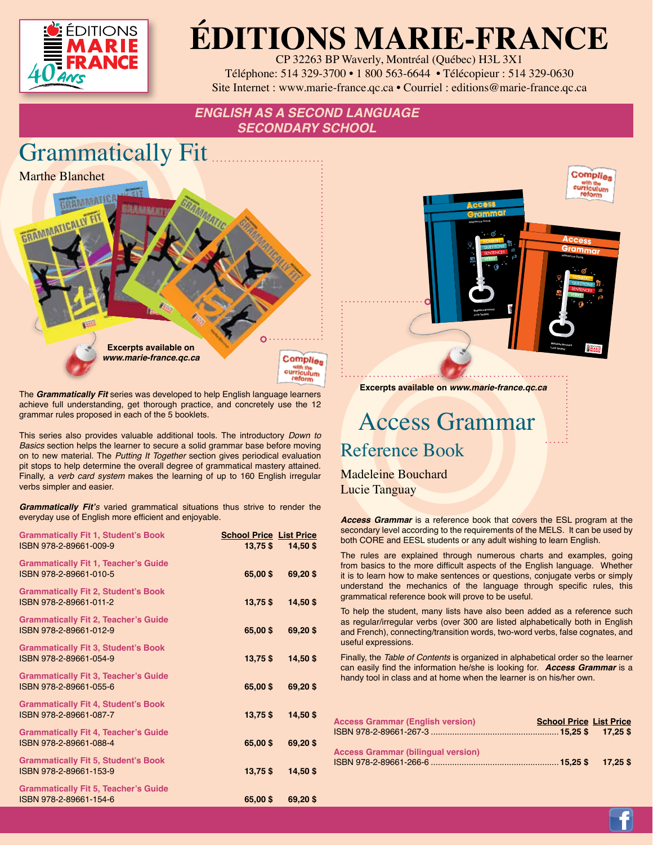

## **ÉDITIONS MARIE-FRANCE**

CP 32263 BP Waverly, Montréal (Québec) H3L 3X1 Téléphone: 514 329-3700 • 1 800 563-6644 • Télécopieur : 514 329-0630 Site Internet : www.marie-france.qc.ca • Courriel : editions@marie-france.qc.ca

### *ENGLISH AS A SECOND LANGUAGE SECONDARY SCHOOL*



The *Grammatically Fit* series was developed to help English language learners achieve full understanding, get thorough practice, and concretely use the 12 grammar rules proposed in each of the 5 booklets.

This series also provides valuable additional tools. The introductory *Down to Basics* section helps the learner to secure a solid grammar base before moving on to new material. The *Putting It Together* section gives periodical evaluation pit stops to help determine the overall degree of grammatical mastery attained. Finally, a *verb card system* makes the learning of up to 160 English irregular verbs simpler and easier.

**Grammatically Fit'***s* varied grammatical situations thus strive to render the everyday use of English more efficient and enjoyable.

| <b>Grammatically Fit 1, Student's Book</b><br>ISBN 978-2-89661-009-9  | <b>School Price List Price</b><br>$13,75$ \$ | 14,50\$    |
|-----------------------------------------------------------------------|----------------------------------------------|------------|
| <b>Grammatically Fit 1, Teacher's Guide</b><br>ISBN 978-2-89661-010-5 | 65,00\$                                      | 69,20\$    |
| <b>Grammatically Fit 2, Student's Book</b><br>ISBN 978-2-89661-011-2  | $13,75$ \$                                   | 14,50\$    |
| <b>Grammatically Fit 2, Teacher's Guide</b><br>ISBN 978-2-89661-012-9 | 65,00\$                                      | 69,20\$    |
| <b>Grammatically Fit 3, Student's Book</b><br>ISBN 978-2-89661-054-9  | $13,75$ \$                                   | 14,50\$    |
| <b>Grammatically Fit 3, Teacher's Guide</b><br>ISBN 978-2-89661-055-6 | 65,00\$                                      | 69,20\$    |
| <b>Grammatically Fit 4, Student's Book</b><br>ISBN 978-2-89661-087-7  | $13,75$ \$                                   | 14,50\$    |
| <b>Grammatically Fit 4, Teacher's Guide</b><br>ISBN 978-2-89661-088-4 | 65,00\$                                      | 69,20\$    |
| <b>Grammatically Fit 5, Student's Book</b><br>ISBN 978-2-89661-153-9  | $13,75$ \$                                   | $14,50$ \$ |
| <b>Grammatically Fit 5, Teacher's Guide</b><br>ISBN 978-2-89661-154-6 | 65,00\$                                      | 69,20\$    |



 Access Grammar Reference Book

**Excerpts available on** *www.marie-france.qc.ca*

Madeleine Bouchard Lucie Tanguay

*Access Grammar* is a reference book that covers the ESL program at the secondary level according to the requirements of the MELS. It can be used by both CORE and EESL students or any adult wishing to learn English.

The rules are explained through numerous charts and examples, going from basics to the more difficult aspects of the English language. Whether it is to learn how to make sentences or questions, conjugate verbs or simply understand the mechanics of the language through specific rules, this grammatical reference book will prove to be useful.

To help the student, many lists have also been added as a reference such as regular/irregular verbs (over 300 are listed alphabetically both in English and French), connecting/transition words, two-word verbs, false cognates, and useful expressions.

Finally, the *Table of Contents* is organized in alphabetical order so the learner can easily find the information he/she is looking for. *Access Grammar* is a handy tool in class and at home when the learner is on his/her own.

| <b>Access Grammar (English version)</b>   | <b>School Price List Price</b> |  |
|-------------------------------------------|--------------------------------|--|
|                                           |                                |  |
| <b>Access Grammar (bilingual version)</b> |                                |  |
|                                           |                                |  |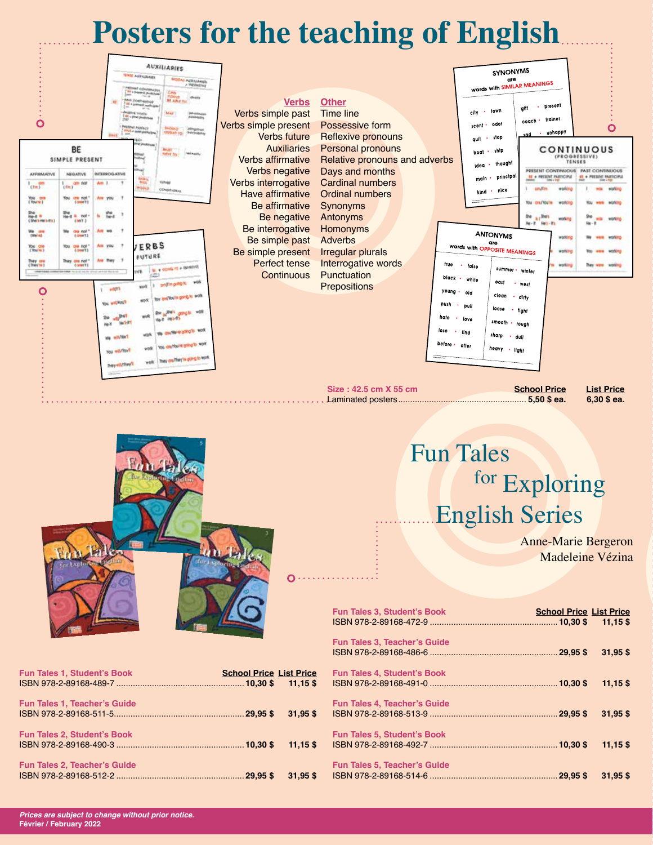## **Posters for the teaching of English**





|  | <b>Fun Tales</b>      |
|--|-----------------------|
|  | for Exploring         |
|  | <b>English Series</b> |

Anne-Marie Bergeron Madeleine Vézina

|                         | <b>Fun Tales 3, Student's Book</b>  | <b>School Price List Price</b> | $11,15$ \$ |
|-------------------------|-------------------------------------|--------------------------------|------------|
|                         | <b>Fun Tales 3, Teacher's Guide</b> | $.29.95$ \$                    | $31,95$ \$ |
| <u>ce</u><br>$\ddot{s}$ | <b>Fun Tales 4, Student's Book</b>  |                                | $11,15$ \$ |
| <b>S</b>                | <b>Fun Tales 4, Teacher's Guide</b> | $.29,95$ \$                    | $31,95$ \$ |
| <b>S</b>                | <b>Fun Tales 5, Student's Book</b>  |                                | $11,15$ \$ |
| <b>S</b>                | <b>Fun Tales 5, Teacher's Guide</b> | $.29,95$ \$                    | $31.95$ \$ |

| <b>Fun Tales 1, Student's Book</b>  | <b>School Price List Price</b> |  |
|-------------------------------------|--------------------------------|--|
| <b>Fun Tales 1, Teacher's Guide</b> |                                |  |
| <b>Fun Tales 2, Student's Book</b>  |                                |  |
| <b>Fun Tales 2, Teacher's Guide</b> |                                |  |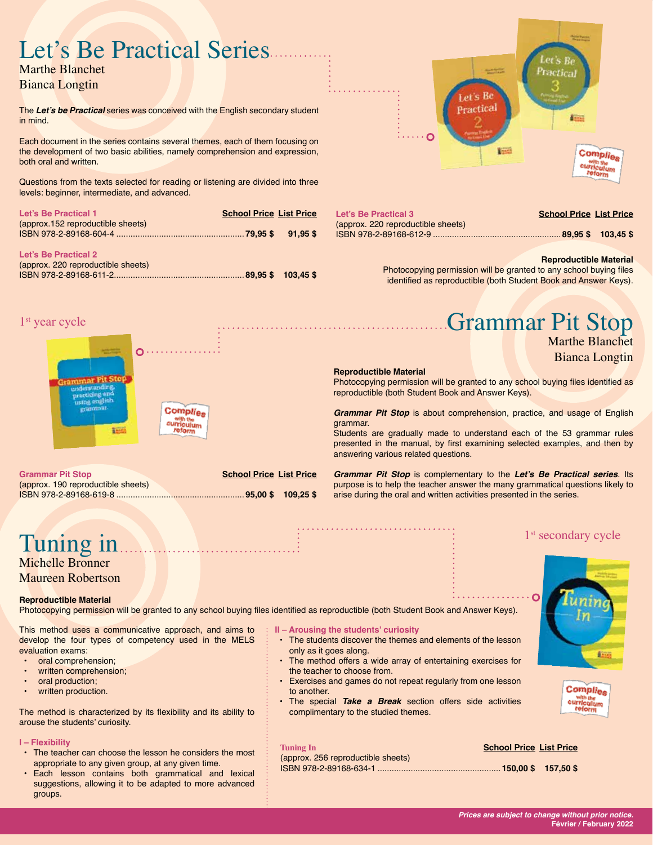# Let's Be Practical Series

Bianca Longtin

1<sup>st</sup> year cycle

The **Let's be Practical** series was conceived with the English secondary student in mind.

Each document in the series contains several themes, each of them focusing on the development of two basic abilities, namely comprehension and expression, both oral and written.

Questions from the texts selected for reading or listening are divided into three levels: beginner, intermediate, and advanced.

| Let's Be Practical 1              | <b>School Price List Price</b> |  |
|-----------------------------------|--------------------------------|--|
| (approx.152 reproductible sheets) |                                |  |
|                                   |                                |  |
|                                   |                                |  |
| Let's Be Practical 2              |                                |  |

| (approx. 220 reproductible sheets) |  |
|------------------------------------|--|
|                                    |  |



| Let's Be Practical 3               | <b>School Price List Price</b> |  |
|------------------------------------|--------------------------------|--|
| (approx. 220 reproductible sheets) |                                |  |
|                                    |                                |  |
|                                    |                                |  |

#### **Reproductible Material**

Photocopying permission will be granted to any school buying files identified as reproductible (both Student Book and Answer Keys).

## Grammar Pit Stop



Ō٠ **Complies** urriculum **BEE** 

**Grammar Pit Stop School Price List Price** (approx. 190 reproductible sheets) ISBN 978-2-89168-619-8 ......................................................**95,00 \$ 109,25 \$**

#### **Reproductible Material**

Photocopying permission will be granted to any school buying files identified as reproductible (both Student Book and Answer Keys).

*Grammar Pit Stop* is about comprehension, practice, and usage of English grammar.

Students are gradually made to understand each of the 53 grammar rules presented in the manual, by first examining selected examples, and then by answering various related questions.

*Grammar Pit Stop* is complementary to the **Let's Be Practical series**. Its purpose is to help the teacher answer the many grammatical questions likely to arise during the oral and written activities presented in the series.

Maureen Robertson

#### **Reproductible Material**

Photocopying permission will be granted to any school buying files identified as reproductible (both Student Book and Answer Keys).

This method uses a communicative approach, and aims to develop the four types of competency used in the MELS evaluation exams:

- oral comprehension;
- written comprehension;
- oral production;
- written production.

The method is characterized by its flexibility and its ability to arouse the students' curiosity.

#### **I – Flexibility**

- The teacher can choose the lesson he considers the most appropriate to any given group, at any given time.
- Each lesson contains both grammatical and lexical suggestions, allowing it to be adapted to more advanced groups.

#### **II – Arousing the students' curiosity**

- The students discover the themes and elements of the lesson only as it goes along.
- The method offers a wide array of entertaining exercises for the teacher to choose from.
- Exercises and games do not repeat regularly from one lesson to another.
- The special *Take a Break* section offers side activities complimentary to the studied themes.



1<sup>st</sup> secondary cycle

Complies with the<br>curriculum

#### **Tuning In School Price List Price**

(approx. 256 reproductible sheets) ISBN 978-2-89168-634-1 ....................................................**150,00 \$ 157,50 \$** 

### *Prices are subject to change without prior notice.*

**Février / February 2022**

Tuning in<br>Michelle Bronner